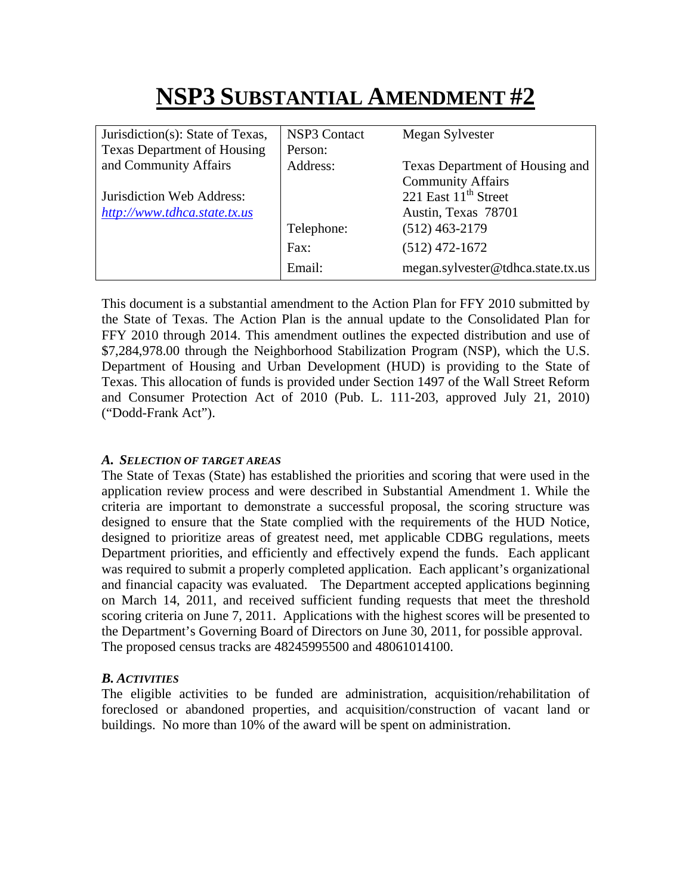# **NSP3 SUBSTANTIAL AMENDMENT #2**

| Jurisdiction(s): State of Texas,   | <b>NSP3 Contact</b> | Megan Sylvester                   |
|------------------------------------|---------------------|-----------------------------------|
| <b>Texas Department of Housing</b> | Person:             |                                   |
| and Community Affairs              | Address:            | Texas Department of Housing and   |
|                                    |                     | <b>Community Affairs</b>          |
| Jurisdiction Web Address:          |                     | 221 East 11 <sup>th</sup> Street  |
| http://www.tdhca.state.tx.us       |                     | Austin, Texas 78701               |
|                                    | Telephone:          | $(512)$ 463-2179                  |
|                                    | Fax:                | $(512)$ 472-1672                  |
|                                    | Email:              | megan.sylvester@tdhca.state.tx.us |

This document is a substantial amendment to the Action Plan for FFY 2010 submitted by the State of Texas. The Action Plan is the annual update to the Consolidated Plan for FFY 2010 through 2014. This amendment outlines the expected distribution and use of \$7,284,978.00 through the Neighborhood Stabilization Program (NSP), which the U.S. Department of Housing and Urban Development (HUD) is providing to the State of Texas. This allocation of funds is provided under Section 1497 of the Wall Street Reform and Consumer Protection Act of 2010 (Pub. L. 111-203, approved July 21, 2010) ("Dodd-Frank Act").

## *A. SELECTION OF TARGET AREAS*

The State of Texas (State) has established the priorities and scoring that were used in the application review process and were described in Substantial Amendment 1. While the criteria are important to demonstrate a successful proposal, the scoring structure was designed to ensure that the State complied with the requirements of the HUD Notice, designed to prioritize areas of greatest need, met applicable CDBG regulations, meets Department priorities, and efficiently and effectively expend the funds. Each applicant was required to submit a properly completed application. Each applicant's organizational and financial capacity was evaluated. The Department accepted applications beginning on March 14, 2011, and received sufficient funding requests that meet the threshold scoring criteria on June 7, 2011. Applications with the highest scores will be presented to the Department's Governing Board of Directors on June 30, 2011, for possible approval. The proposed census tracks are 48245995500 and 48061014100.

#### *B. ACTIVITIES*

The eligible activities to be funded are administration, acquisition/rehabilitation of foreclosed or abandoned properties, and acquisition/construction of vacant land or buildings. No more than 10% of the award will be spent on administration.